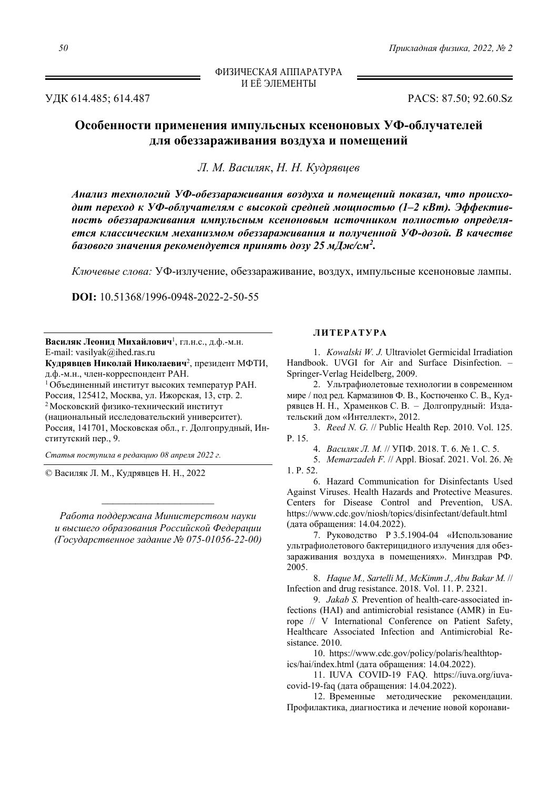УДК 614.485; 614.487 PACS: 87.50; 92.60.Sz

## **Особенности применения импульсных ксеноновых УФ-облучателей для обеззараживания воздуха и помещений**

*Л. М. Василяк*, *Н. Н. Кудрявцев*

*Анализ технологий УФ-обеззараживания воздуха и помещений показал, что происходит переход к УФ-облучателям с высокой средней мощностью (1–2 кВт). Эффективность обеззараживания импульсным ксеноновым источником полностью определяется классическим механизмом обеззараживания и полученной УФ-дозой. В качестве базового значения рекомендуется принять дозу 25 мДж/см<sup>2</sup> .* 

*Ключевые слова:* УФ-излучение, обеззараживание, воздух, импульсные ксеноновые лампы.

**DOI:** 10.51368/1996-0948-2022-2-50-55

**Василяк Леонид Михайлович**<sup>1</sup> , гл.н.с., д.ф.-м.н. E-mail: vasilyak@ihed.ras.ru

**Кудрявцев Николай Николаевич**<sup>2</sup> , президент МФТИ, д.ф.-м.н., член-корреспондент РАН.

1 Объединенный институт высоких температур РАН. Россия, 125412, Москва, ул. Ижорская, 13, стр. 2. 2 Московский физико-технический институт (национальный исследовательский университет). Россия, 141701, Московская обл., г. Долгопрудный, Институтский пер., 9.

*Статья поступила в редакцию 08 апреля 2022 г.* 

© Василяк Л. М., Кудрявцев Н. Н., 2022

*Работа поддержана Министерством науки и высшего образования Российской Федерации (Государственное задание № 075-01056-22-00)* 

## **ЛИТЕРАТУРА**

1. *Kowalski W. J.* Ultraviolet Germicidal Irradiation Handbook. UVGI for Air and Surface Disinfection. – Springer-Verlag Heidelberg, 2009.

2. Ультрафиолетовые технологии в современном мире / под ред. Кармазинов Ф. В., Костюченко С. В., Кудрявцев Н. Н., Храменков С. В. – Долгопрудный: Издательский дом «Интеллект», 2012.

3. *Reed N. G.* // Public Health Rep. 2010. Vol. 125. P. 15.

4. *Василяк Л. М.* // УПФ. 2018. Т. 6. № 1. С. 5.

5. *Memarzadeh F.* // Appl. Biosaf. 2021. Vol. 26. № 1. P. 52.

6. Hazard Communication for Disinfectants Used Against Viruses. Health Hazards and Protective Measures. Centers for Disease Control and Prevention, USA. https://www.cdc.gov/niosh/topics/disinfectant/default.html (дата обращения: 14.04.2022).

7. Руководство Р 3.5.1904-04 «Использование ультрафиолетового бактерицидного излучения для обеззараживания воздуха в помещениях». Минздрав РФ. 2005.

8. *Haque M., Sartelli M., McKimm J.,Abu Bakar M.* // Infection and drug resistance. 2018. Vol. 11. P. 2321.

9. *Jakab S.* Prevention of health-care-associated infections (HAI) and antimicrobial resistance (AMR) in Europe // V International Conference on Patient Safety, Healthcare Associated Infection and Antimicrobial Resistance. 2010.

10. https://www.cdc.gov/policy/polaris/healthtopics/hai/index.html (дата обращения: 14.04.2022).

11. IUVA COVID-19 FAQ. https://iuva.org/iuvacovid-19-faq (дата обращения: 14.04.2022).

12. Временные методические рекомендации. Профилактика, диагностика и лечение новой коронави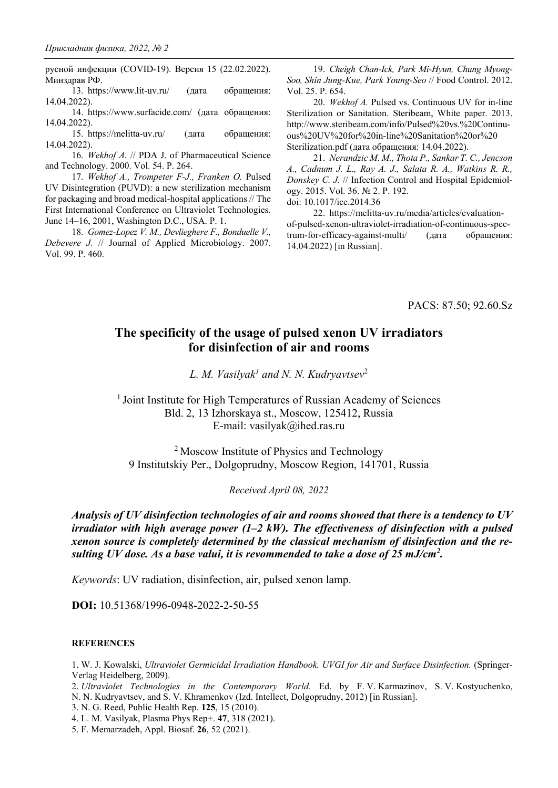русной инфекции (COVID-19). Версия 15 (22.02.2022). Минздрав РФ.

13. https://www.lit-uv.ru/ (дата обращения: 14.04.2022).

14. https://www.surfacide.com/ (дата обращения: 14.04.2022).

15. https://melitta-uv.ru/ (дата обращения: 14.04.2022).

16. *Wekhof A.* // PDA J. of Pharmaceutical Science and Technology. 2000. Vol. 54. P. 264.

17. *Wekhof A., Trompeter F-J., Franken O.* Pulsed UV Disintegration (PUVD): a new sterilization mechanism for packaging and broad medical-hospital applications // The First International Conference on Ultraviolet Technologies. June 14–16, 2001, Washington D.C., USA. P. 1.

18. *Gomez-Lopez V. M., Devlieghere F., Bonduelle V., Debevere J.* // Journal of Applied Microbiology. 2007. Vol. 99. P. 460.

19. *Cheigh Chan-Ick, Park Mi-Hyun, Chung Myong-Soo, Shin Jung-Kue, Park Young-Seo* // Food Control. 2012. Vol. 25. P. 654.

20. *Wekhof A.* Pulsed vs. Continuous UV for in-line Sterilization or Sanitation. Steribeam, White paper. 2013. http://www.steribeam.com/info/Pulsed%20vs.%20Continuous%20UV%20for%20in-line%20Sanitation%20or%20 Sterilization.pdf (дата обращения: 14.04.2022).

21. *Nerandzic M. M., Thota P., Sankar T. C., Jencson A., Cadnum J. L., Ray A. J., Salata R. A., Watkins R. R., Donskey C. J.* // Infection Control and Hospital Epidemiology. 2015. Vol. 36. № 2. P. 192. doi: 10.1017/ice.2014.36

22. https://melitta-uv.ru/media/articles/evaluationof-pulsed-xenon-ultraviolet-irradiation-of-continuous-spectrum-for-efficacy-against-multi/ (дата обращения: 14.04.2022) [in Russian].

PACS: 87.50; 92.60.Sz

## **The specificity of the usage of pulsed xenon UV irradiators for disinfection of air and rooms**

*L. M. Vasilyak1 and N. N. Kudryavtsev*<sup>2</sup>

<sup>1</sup> Joint Institute for High Temperatures of Russian Academy of Sciences Bld. 2, 13 Izhorskaya st., Moscow, 125412, Russia E-mail: vasilyak@ihed.ras.ru

2 Moscow Institute of Physics and Technology 9 Institutskiy Per., Dolgoprudny, Moscow Region, 141701, Russia

*Received April 08, 2022* 

*Analysis of UV disinfection technologies of air and rooms showed that there is a tendency to UV irradiator with high average power (1–2 kW). The effectiveness of disinfection with a pulsed xenon source is completely determined by the classical mechanism of disinfection and the resulting UV dose. As a base valui, it is revommended to take a dose of 25 mJ/cm<sup>2</sup> .* 

*Keywords*: UV radiation, disinfection, air, pulsed xenon lamp.

**DOI:** 10.51368/1996-0948-2022-2-50-55

## **REFERENCES**

1. W. J. Kowalski, *Ultraviolet Germicidal Irradiation Handbook. UVGI for Air and Surface Disinfection.* (Springer-Verlag Heidelberg, 2009).

2. *Ultraviolet Technologies in the Contemporary World.* Ed. by F. V. Karmazinov, S. V. Kostyuchenko, N. N. Kudryavtsev, and S. V. Khramenkov (Izd. Intellect, Dolgoprudny, 2012) [in Russian].

- 3. N. G. Reed, Public Health Rep. **125**, 15 (2010).
- 4. L. M. Vasilyak, Plasma Phys Rep+. **47**, 318 (2021).

<sup>5.</sup> F. Memarzadeh, Appl. Biosaf. **26**, 52 (2021).